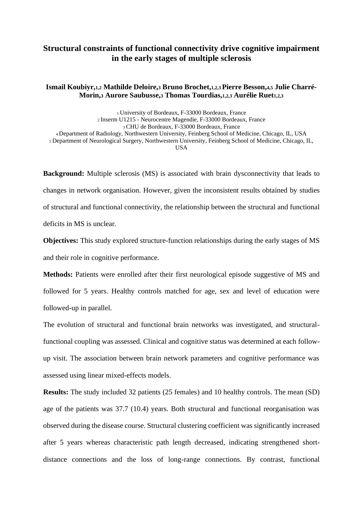## **Structural constraints of functional connectivity drive cognitive impairment in the early stages of multiple sclerosis**

## **Ismail Koubiyr,1,2 Mathilde Deloire,<sup>3</sup> Bruno Brochet,1,2,3 Pierre Besson,4,5 Julie Charré-Morin,<sup>3</sup> Aurore Saubusse,<sup>3</sup> Thomas Tourdias,1,2,3 Aurélie Ruet1,2,3**

 University of Bordeaux, F-33000 Bordeaux, France Inserm U1215 - Neurocentre Magendie, F-33000 Bordeaux, France CHU de Bordeaux, F-33000 Bordeaux, France Department of Radiology, Northwestern University, Feinberg School of Medicine, Chicago, IL, USA Department of Neurological Surgery, Northwestern University, Feinberg School of Medicine, Chicago, IL, USA

**Background:** Multiple sclerosis (MS) is associated with brain dysconnectivity that leads to changes in network organisation. However, given the inconsistent results obtained by studies of structural and functional connectivity, the relationship between the structural and functional deficits in MS is unclear.

**Objectives:** This study explored structure-function relationships during the early stages of MS and their role in cognitive performance.

**Methods:** Patients were enrolled after their first neurological episode suggestive of MS and followed for 5 years. Healthy controls matched for age, sex and level of education were followed-up in parallel.

The evolution of structural and functional brain networks was investigated, and structuralfunctional coupling was assessed. Clinical and cognitive status was determined at each followup visit. The association between brain network parameters and cognitive performance was assessed using linear mixed-effects models.

**Results:** The study included 32 patients (25 females) and 10 healthy controls. The mean (SD) age of the patients was 37.7 (10.4) years. Both structural and functional reorganisation was observed during the disease course. Structural clustering coefficient was significantly increased after 5 years whereas characteristic path length decreased, indicating strengthened shortdistance connections and the loss of long-range connections. By contrast, functional